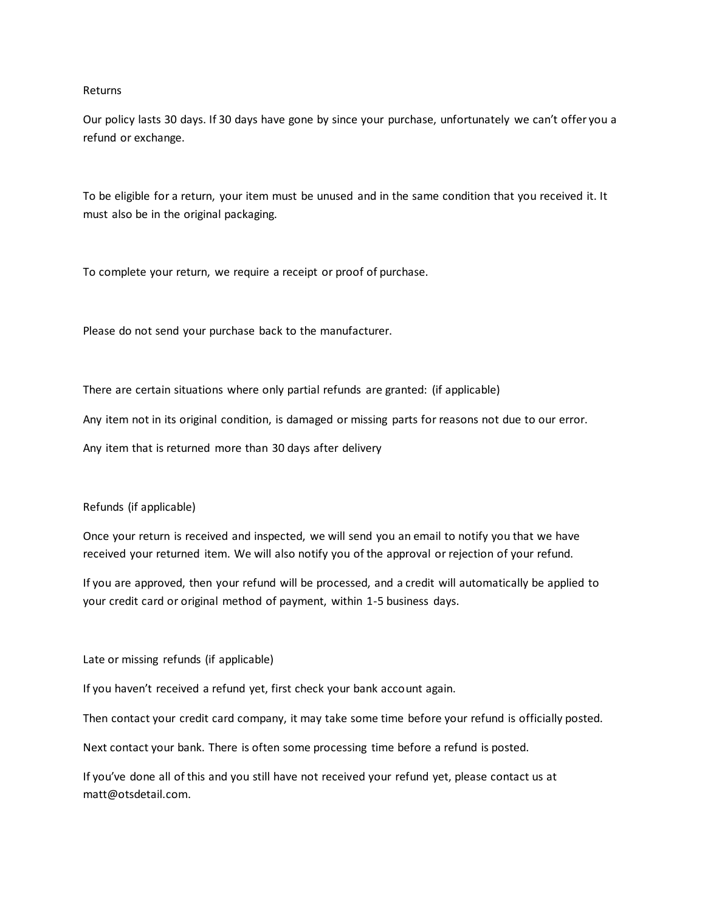## Returns

Our policy lasts 30 days. If 30 days have gone by since your purchase, unfortunately we can't offer you a refund or exchange.

To be eligible for a return, your item must be unused and in the same condition that you received it. It must also be in the original packaging.

To complete your return, we require a receipt or proof of purchase.

Please do not send your purchase back to the manufacturer.

There are certain situations where only partial refunds are granted: (if applicable)

Any item not in its original condition, is damaged or missing parts for reasons not due to our error.

Any item that is returned more than 30 days after delivery

Refunds (if applicable)

Once your return is received and inspected, we will send you an email to notify you that we have received your returned item. We will also notify you of the approval or rejection of your refund.

If you are approved, then your refund will be processed, and a credit will automatically be applied to your credit card or original method of payment, within 1-5 business days.

Late or missing refunds (if applicable)

If you haven't received a refund yet, first check your bank account again.

Then contact your credit card company, it may take some time before your refund is officially posted.

Next contact your bank. There is often some processing time before a refund is posted.

If you've done all of this and you still have not received your refund yet, please contact us at matt@otsdetail.com.